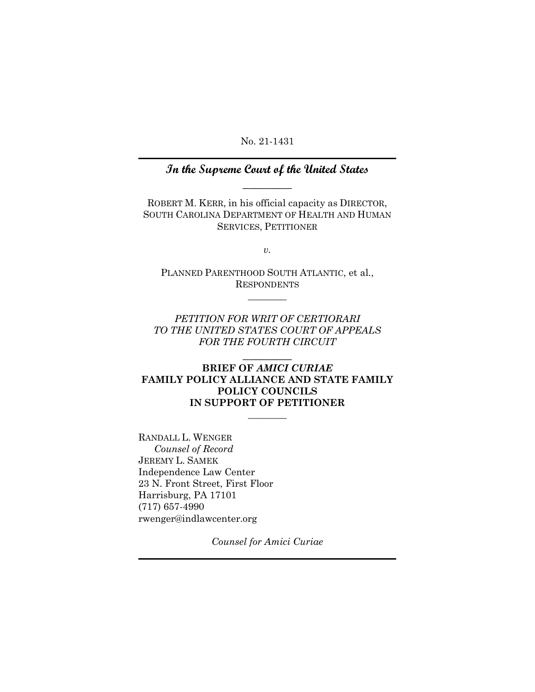No. 21-1431

## **In the Supreme Court of the United States**  $\overline{\phantom{a}}$

ROBERT M. KERR, in his official capacity as DIRECTOR, SOUTH CAROLINA DEPARTMENT OF HEALTH AND HUMAN SERVICES, PETITIONER

*v.*

PLANNED PARENTHOOD SOUTH ATLANTIC, et al., RESPONDENTS  $\frac{1}{2}$ 

*PETITION FOR WRIT OF CERTIORARI TO THE UNITED STATES COURT OF APPEALS FOR THE FOURTH CIRCUIT*

\_\_\_\_\_\_\_\_

### **BRIEF OF** *AMICI CURIAE*  **FAMILY POLICY ALLIANCE AND STATE FAMILY POLICY COUNCILS IN SUPPORT OF PETITIONER**

 $\frac{1}{2}$ 

RANDALL L. WENGER *Counsel of Record* JEREMY L. SAMEK Independence Law Center 23 N. Front Street, First Floor Harrisburg, PA 17101 (717) 657-4990 rwenger@indlawcenter.org

*Counsel for Amici Curiae*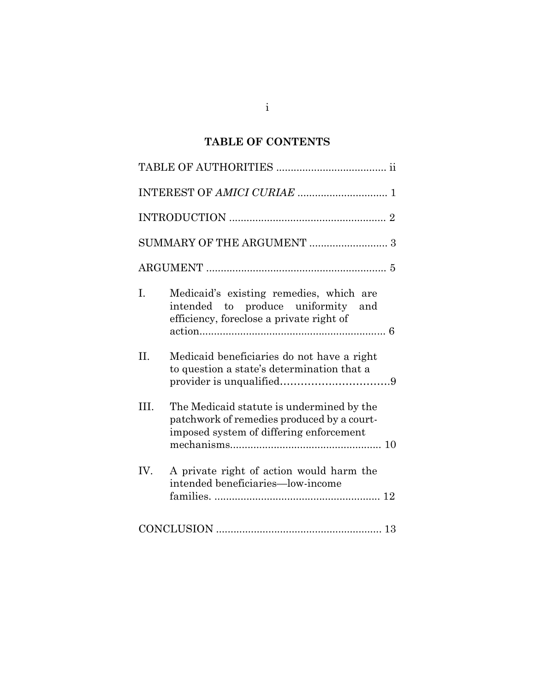## **TABLE OF CONTENTS**

| SUMMARY OF THE ARGUMENT  3 |                                                                                                                                    |  |  |
|----------------------------|------------------------------------------------------------------------------------------------------------------------------------|--|--|
|                            |                                                                                                                                    |  |  |
| I.                         | Medicaid's existing remedies, which are<br>intended to produce uniformity<br>and<br>efficiency, foreclose a private right of       |  |  |
| II.                        | Medicaid beneficiaries do not have a right<br>to question a state's determination that a                                           |  |  |
| III.                       | The Medicaid statute is undermined by the<br>patchwork of remedies produced by a court-<br>imposed system of differing enforcement |  |  |
| IV.                        | A private right of action would harm the<br>intended beneficiaries-low-income                                                      |  |  |
|                            |                                                                                                                                    |  |  |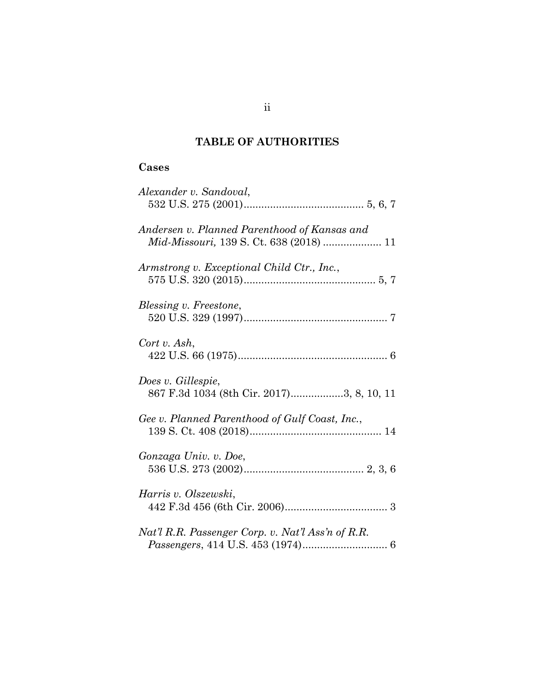## **TABLE OF AUTHORITIES**

## **Cases**

| Alexander v. Sandoval,                                                                  |
|-----------------------------------------------------------------------------------------|
| Andersen v. Planned Parenthood of Kansas and<br>Mid-Missouri, 139 S. Ct. 638 (2018)  11 |
| Armstrong v. Exceptional Child Ctr., Inc.,                                              |
| Blessing v. Freestone,                                                                  |
| Cort v. Ash,                                                                            |
| Does v. Gillespie,<br>867 F.3d 1034 (8th Cir. 2017)3, 8, 10, 11                         |
| Gee v. Planned Parenthood of Gulf Coast, Inc.,                                          |
| Gonzaga Univ. v. Doe,                                                                   |
| Harris v. Olszewski,                                                                    |
| Nat'l R.R. Passenger Corp. v. Nat'l Ass'n of R.R.                                       |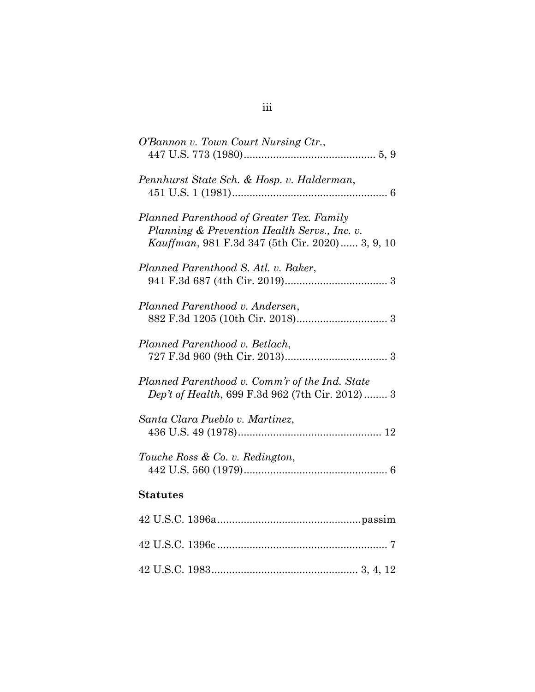| O'Bannon v. Town Court Nursing Ctr.,                                                                                                         |
|----------------------------------------------------------------------------------------------------------------------------------------------|
| Pennhurst State Sch. & Hosp. v. Halderman,                                                                                                   |
| Planned Parenthood of Greater Tex. Family<br>Planning & Prevention Health Servs., Inc. v.<br>Kauffman, 981 F.3d 347 (5th Cir. 2020) 3, 9, 10 |
| Planned Parenthood S. Atl. v. Baker,                                                                                                         |
| Planned Parenthood v. Andersen,                                                                                                              |
| Planned Parenthood v. Betlach,                                                                                                               |
| Planned Parenthood v. Comm'r of the Ind. State<br>Dep't of Health, 699 F.3d 962 (7th Cir. 2012)  3                                           |
| Santa Clara Pueblo v. Martinez,                                                                                                              |
| Touche Ross & Co. v. Redington,                                                                                                              |
| <b>Statutes</b>                                                                                                                              |
|                                                                                                                                              |
|                                                                                                                                              |
|                                                                                                                                              |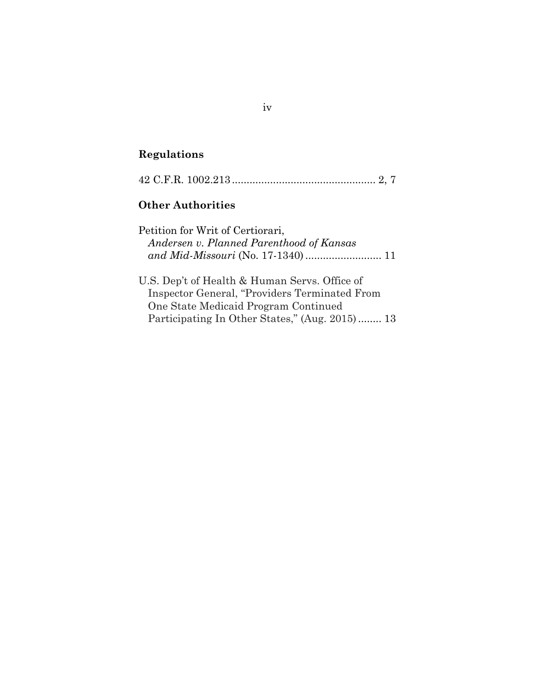# **Regulations**

|--|--|--|

# **Other Authorities**

| Petition for Writ of Certiorari,         |  |
|------------------------------------------|--|
| Andersen v. Planned Parenthood of Kansas |  |
|                                          |  |

| U.S. Dep't of Health & Human Servs. Office of  |  |
|------------------------------------------------|--|
| Inspector General, "Providers Terminated From  |  |
| One State Medicaid Program Continued           |  |
| Participating In Other States," (Aug. 2015) 13 |  |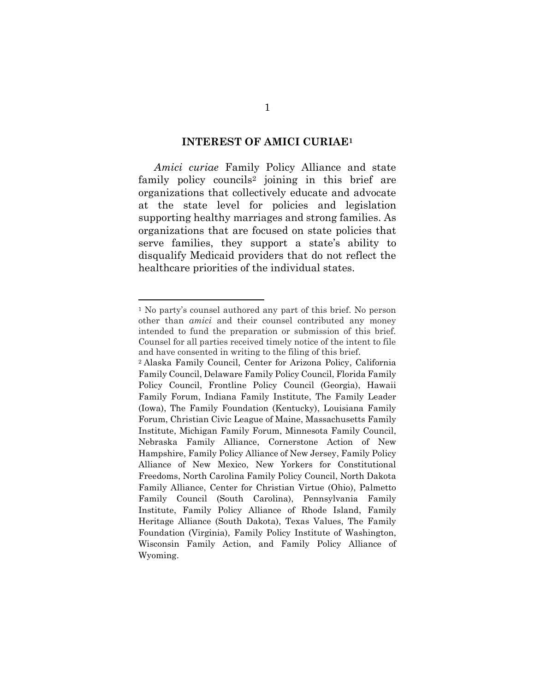#### **INTEREST OF AMICI CURIAE<sup>1</sup>**

*Amici curiae* Family Policy Alliance and state family policy councils<sup>2</sup> joining in this brief are organizations that collectively educate and advocate at the state level for policies and legislation supporting healthy marriages and strong families. As organizations that are focused on state policies that serve families, they support a state's ability to disqualify Medicaid providers that do not reflect the healthcare priorities of the individual states.

<sup>1</sup> No party's counsel authored any part of this brief. No person other than *amici* and their counsel contributed any money intended to fund the preparation or submission of this brief. Counsel for all parties received timely notice of the intent to file and have consented in writing to the filing of this brief.

<sup>2</sup> Alaska Family Council, Center for Arizona Policy, California Family Council, Delaware Family Policy Council, Florida Family Policy Council, Frontline Policy Council (Georgia), Hawaii Family Forum, Indiana Family Institute, The Family Leader (Iowa), The Family Foundation (Kentucky), Louisiana Family Forum, Christian Civic League of Maine, Massachusetts Family Institute, Michigan Family Forum, Minnesota Family Council, Nebraska Family Alliance, Cornerstone Action of New Hampshire, Family Policy Alliance of New Jersey, Family Policy Alliance of New Mexico, New Yorkers for Constitutional Freedoms, North Carolina Family Policy Council, North Dakota Family Alliance, Center for Christian Virtue (Ohio), Palmetto Family Council (South Carolina), Pennsylvania Family Institute, Family Policy Alliance of Rhode Island, Family Heritage Alliance (South Dakota), Texas Values, The Family Foundation (Virginia), Family Policy Institute of Washington, Wisconsin Family Action, and Family Policy Alliance of Wyoming.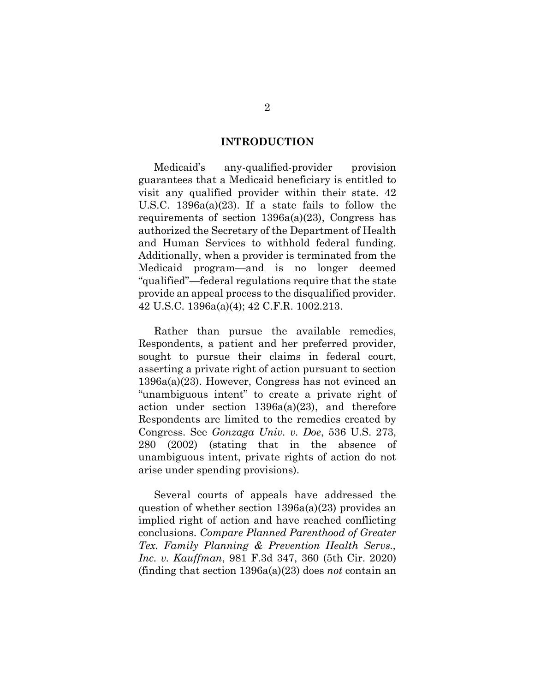#### **INTRODUCTION**

Medicaid's any-qualified-provider provision guarantees that a Medicaid beneficiary is entitled to visit any qualified provider within their state. 42 U.S.C. 1396a(a)(23). If a state fails to follow the requirements of section  $1396a(a)(23)$ , Congress has authorized the Secretary of the Department of Health and Human Services to withhold federal funding. Additionally, when a provider is terminated from the Medicaid program—and is no longer deemed "qualified"—federal regulations require that the state provide an appeal process to the disqualified provider. 42 U.S.C. 1396a(a)(4); 42 C.F.R. 1002.213.

Rather than pursue the available remedies, Respondents, a patient and her preferred provider, sought to pursue their claims in federal court, asserting a private right of action pursuant to section 1396a(a)(23). However, Congress has not evinced an "unambiguous intent" to create a private right of action under section 1396a(a)(23), and therefore Respondents are limited to the remedies created by Congress. See *Gonzaga Univ. v. Doe*, 536 U.S. 273, 280 (2002) (stating that in the absence of unambiguous intent, private rights of action do not arise under spending provisions).

Several courts of appeals have addressed the question of whether section 1396a(a)(23) provides an implied right of action and have reached conflicting conclusions. *Compare Planned Parenthood of Greater Tex. Family Planning & Prevention Health Servs., Inc. v. Kauffman*, 981 F.3d 347, 360 (5th Cir. 2020) (finding that section 1396a(a)(23) does *not* contain an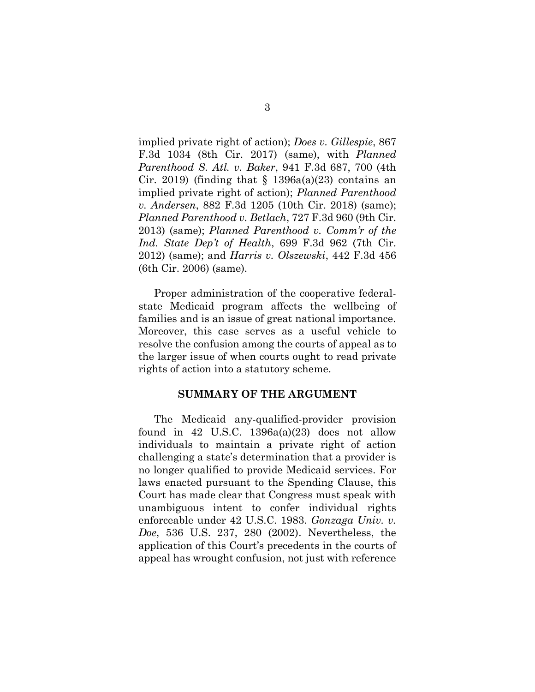implied private right of action); *Does v. Gillespie*, 867 F.3d 1034 (8th Cir. 2017) (same), with *Planned Parenthood S. Atl. v. Baker*, 941 F.3d 687, 700 (4th Cir. 2019) (finding that  $\S$  1396a(a)(23) contains an implied private right of action); *Planned Parenthood v. Andersen*, 882 F.3d 1205 (10th Cir. 2018) (same); *Planned Parenthood v. Betlach*, 727 F.3d 960 (9th Cir. 2013) (same); *Planned Parenthood v. Comm'r of the Ind. State Dep't of Health*, 699 F.3d 962 (7th Cir. 2012) (same); and *Harris v. Olszewski*, 442 F.3d 456 (6th Cir. 2006) (same).

Proper administration of the cooperative federalstate Medicaid program affects the wellbeing of families and is an issue of great national importance. Moreover, this case serves as a useful vehicle to resolve the confusion among the courts of appeal as to the larger issue of when courts ought to read private rights of action into a statutory scheme.

### **SUMMARY OF THE ARGUMENT**

The Medicaid any-qualified-provider provision found in 42 U.S.C.  $1396a(a)(23)$  does not allow individuals to maintain a private right of action challenging a state's determination that a provider is no longer qualified to provide Medicaid services. For laws enacted pursuant to the Spending Clause, this Court has made clear that Congress must speak with unambiguous intent to confer individual rights enforceable under 42 U.S.C. 1983. *Gonzaga Univ. v. Doe*, 536 U.S. 237, 280 (2002). Nevertheless, the application of this Court's precedents in the courts of appeal has wrought confusion, not just with reference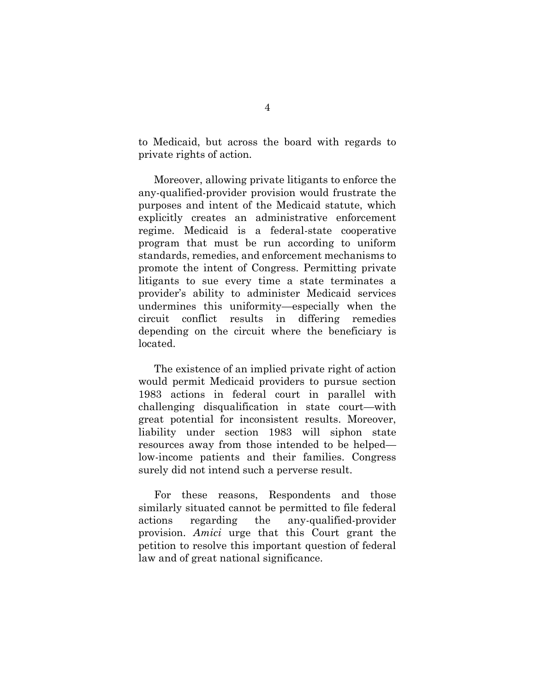to Medicaid, but across the board with regards to private rights of action.

Moreover, allowing private litigants to enforce the any-qualified-provider provision would frustrate the purposes and intent of the Medicaid statute, which explicitly creates an administrative enforcement regime. Medicaid is a federal-state cooperative program that must be run according to uniform standards, remedies, and enforcement mechanisms to promote the intent of Congress. Permitting private litigants to sue every time a state terminates a provider's ability to administer Medicaid services undermines this uniformity—especially when the circuit conflict results in differing remedies depending on the circuit where the beneficiary is located.

The existence of an implied private right of action would permit Medicaid providers to pursue section 1983 actions in federal court in parallel with challenging disqualification in state court—with great potential for inconsistent results. Moreover, liability under section 1983 will siphon state resources away from those intended to be helped low-income patients and their families. Congress surely did not intend such a perverse result.

For these reasons, Respondents and those similarly situated cannot be permitted to file federal actions regarding the any-qualified-provider provision. *Amici* urge that this Court grant the petition to resolve this important question of federal law and of great national significance.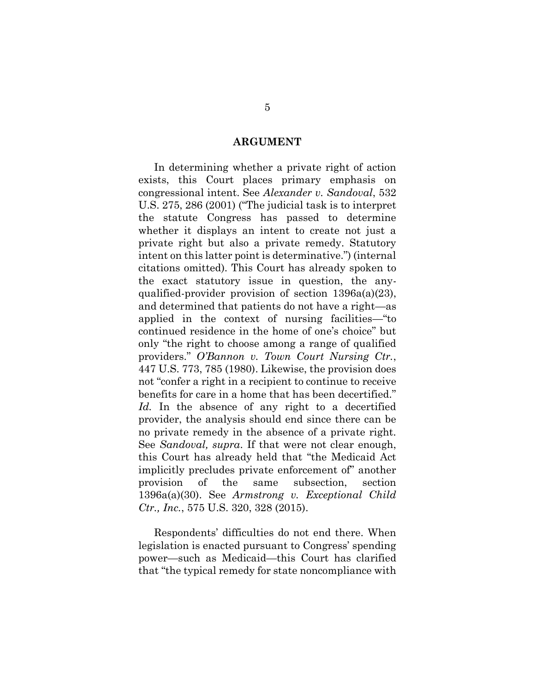#### **ARGUMENT**

In determining whether a private right of action exists, this Court places primary emphasis on congressional intent. See *Alexander v. Sandoval*, 532 U.S. 275, 286 (2001) ("The judicial task is to interpret the statute Congress has passed to determine whether it displays an intent to create not just a private right but also a private remedy. Statutory intent on this latter point is determinative.") (internal citations omitted). This Court has already spoken to the exact statutory issue in question, the anyqualified-provider provision of section 1396a(a)(23), and determined that patients do not have a right—as applied in the context of nursing facilities—"to continued residence in the home of one's choice" but only "the right to choose among a range of qualified providers." *O'Bannon v. Town Court Nursing Ctr.*, 447 U.S. 773, 785 (1980). Likewise, the provision does not "confer a right in a recipient to continue to receive benefits for care in a home that has been decertified." *Id.* In the absence of any right to a decertified provider, the analysis should end since there can be no private remedy in the absence of a private right. See *Sandoval, supra*. If that were not clear enough, this Court has already held that "the Medicaid Act implicitly precludes private enforcement of" another provision of the same subsection, section 1396a(a)(30). See *Armstrong v. Exceptional Child Ctr., Inc.*, 575 U.S. 320, 328 (2015).

Respondents' difficulties do not end there. When legislation is enacted pursuant to Congress' spending power—such as Medicaid—this Court has clarified that "the typical remedy for state noncompliance with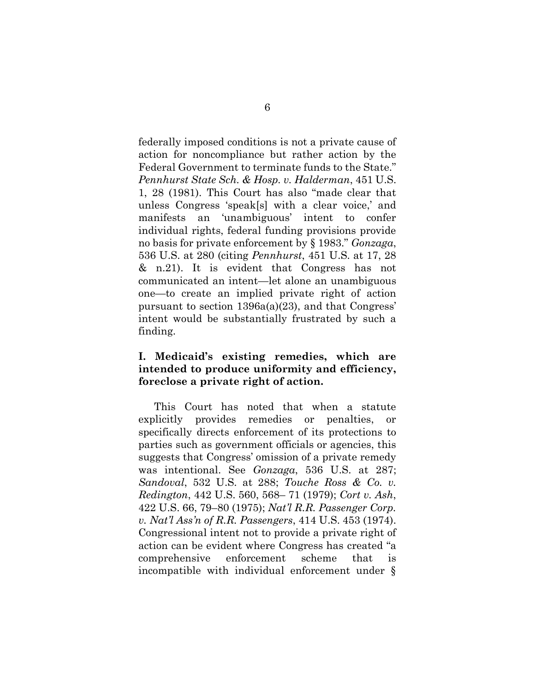federally imposed conditions is not a private cause of action for noncompliance but rather action by the Federal Government to terminate funds to the State." *Pennhurst State Sch. & Hosp. v. Halderman*, 451 U.S. 1, 28 (1981). This Court has also "made clear that unless Congress 'speak[s] with a clear voice,' and manifests an 'unambiguous' intent to confer individual rights, federal funding provisions provide no basis for private enforcement by § 1983." *Gonzaga*, 536 U.S. at 280 (citing *Pennhurst*, 451 U.S. at 17, 28 & n.21). It is evident that Congress has not communicated an intent—let alone an unambiguous one—to create an implied private right of action pursuant to section 1396a(a)(23), and that Congress' intent would be substantially frustrated by such a finding.

## **I. Medicaid's existing remedies, which are intended to produce uniformity and efficiency, foreclose a private right of action.**

This Court has noted that when a statute explicitly provides remedies or penalties, or specifically directs enforcement of its protections to parties such as government officials or agencies, this suggests that Congress' omission of a private remedy was intentional. See *Gonzaga*, 536 U.S. at 287; *Sandoval*, 532 U.S. at 288; *Touche Ross & Co. v. Redington*, 442 U.S. 560, 568– 71 (1979); *Cort v. Ash*, 422 U.S. 66, 79–80 (1975); *Nat'l R.R. Passenger Corp. v. Nat'l Ass'n of R.R. Passengers*, 414 U.S. 453 (1974). Congressional intent not to provide a private right of action can be evident where Congress has created "a comprehensive enforcement scheme that is incompatible with individual enforcement under §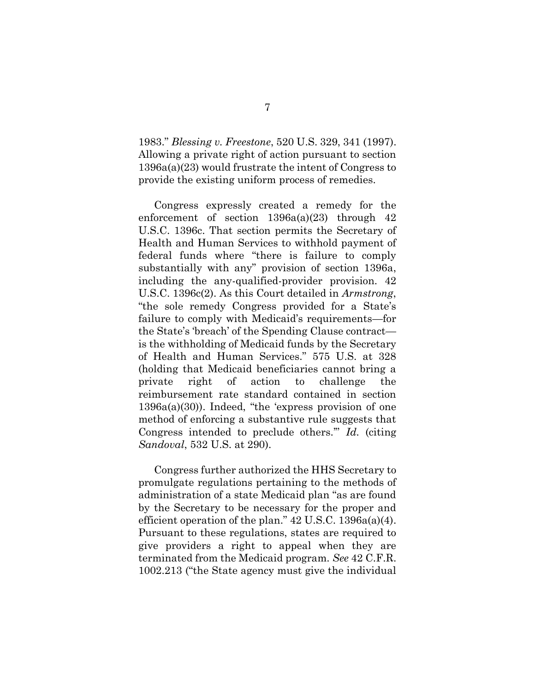1983." *Blessing v. Freestone*, 520 U.S. 329, 341 (1997). Allowing a private right of action pursuant to section 1396a(a)(23) would frustrate the intent of Congress to provide the existing uniform process of remedies.

Congress expressly created a remedy for the enforcement of section  $1396a(a)(23)$  through 42 U.S.C. 1396c. That section permits the Secretary of Health and Human Services to withhold payment of federal funds where "there is failure to comply substantially with any" provision of section 1396a, including the any-qualified-provider provision. 42 U.S.C. 1396c(2). As this Court detailed in *Armstrong*, "the sole remedy Congress provided for a State's failure to comply with Medicaid's requirements—for the State's 'breach' of the Spending Clause contract is the withholding of Medicaid funds by the Secretary of Health and Human Services." 575 U.S. at 328 (holding that Medicaid beneficiaries cannot bring a private right of action to challenge the reimbursement rate standard contained in section 1396a(a)(30)). Indeed, "the 'express provision of one method of enforcing a substantive rule suggests that Congress intended to preclude others.'" *Id.* (citing *Sandoval*, 532 U.S. at 290).

Congress further authorized the HHS Secretary to promulgate regulations pertaining to the methods of administration of a state Medicaid plan "as are found by the Secretary to be necessary for the proper and efficient operation of the plan."  $42$  U.S.C. 1396a(a)(4). Pursuant to these regulations, states are required to give providers a right to appeal when they are terminated from the Medicaid program. *See* 42 C.F.R. 1002.213 ("the State agency must give the individual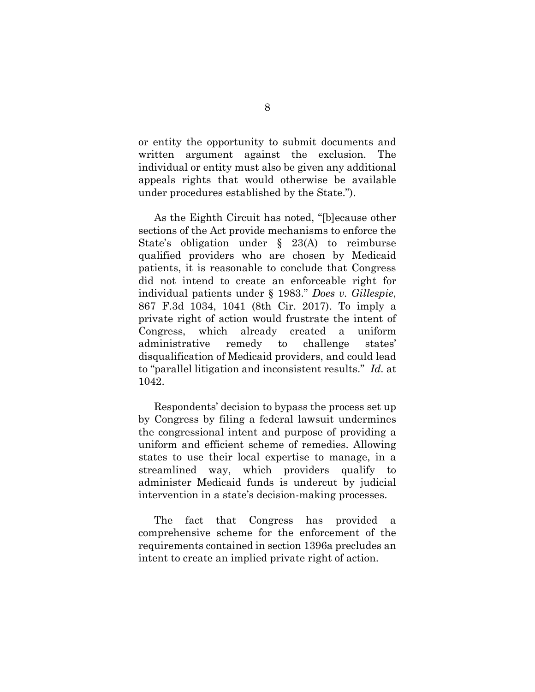or entity the opportunity to submit documents and written argument against the exclusion. The individual or entity must also be given any additional appeals rights that would otherwise be available under procedures established by the State.").

As the Eighth Circuit has noted, "[b]ecause other sections of the Act provide mechanisms to enforce the State's obligation under § 23(A) to reimburse qualified providers who are chosen by Medicaid patients, it is reasonable to conclude that Congress did not intend to create an enforceable right for individual patients under § 1983." *Does v. Gillespie*, 867 F.3d 1034, 1041 (8th Cir. 2017). To imply a private right of action would frustrate the intent of Congress, which already created a uniform administrative remedy to challenge states' disqualification of Medicaid providers, and could lead to "parallel litigation and inconsistent results." *Id.* at 1042.

Respondents' decision to bypass the process set up by Congress by filing a federal lawsuit undermines the congressional intent and purpose of providing a uniform and efficient scheme of remedies. Allowing states to use their local expertise to manage, in a streamlined way, which providers qualify to administer Medicaid funds is undercut by judicial intervention in a state's decision-making processes.

The fact that Congress has provided a comprehensive scheme for the enforcement of the requirements contained in section 1396a precludes an intent to create an implied private right of action.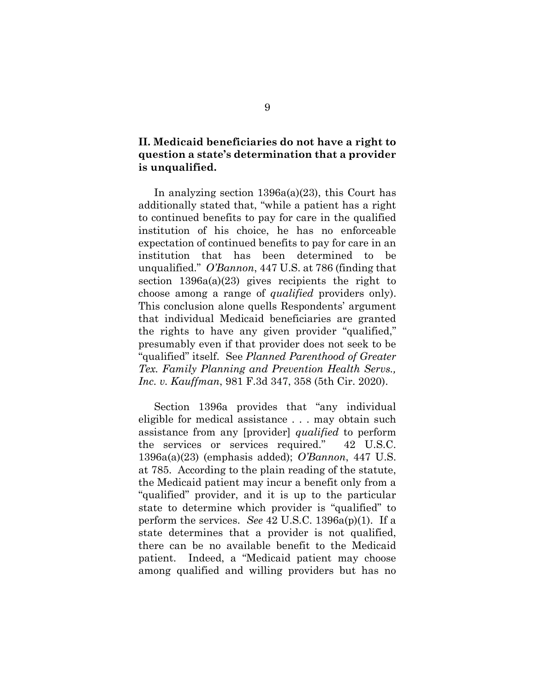## **II. Medicaid beneficiaries do not have a right to question a state's determination that a provider is unqualified.**

In analyzing section 1396a(a)(23), this Court has additionally stated that, "while a patient has a right to continued benefits to pay for care in the qualified institution of his choice, he has no enforceable expectation of continued benefits to pay for care in an institution that has been determined to be unqualified." *O'Bannon*, 447 U.S. at 786 (finding that section  $1396a(a)(23)$  gives recipients the right to choose among a range of *qualified* providers only). This conclusion alone quells Respondents' argument that individual Medicaid beneficiaries are granted the rights to have any given provider "qualified," presumably even if that provider does not seek to be "qualified" itself. See *Planned Parenthood of Greater Tex. Family Planning and Prevention Health Servs., Inc. v. Kauffman*, 981 F.3d 347, 358 (5th Cir. 2020).

Section 1396a provides that "any individual eligible for medical assistance . . . may obtain such assistance from any [provider] *qualified* to perform the services or services required." 42 U.S.C. 1396a(a)(23) (emphasis added); *O'Bannon*, 447 U.S. at 785. According to the plain reading of the statute, the Medicaid patient may incur a benefit only from a "qualified" provider, and it is up to the particular state to determine which provider is "qualified" to perform the services. *See* 42 U.S.C. 1396a(p)(1). If a state determines that a provider is not qualified, there can be no available benefit to the Medicaid patient. Indeed, a "Medicaid patient may choose among qualified and willing providers but has no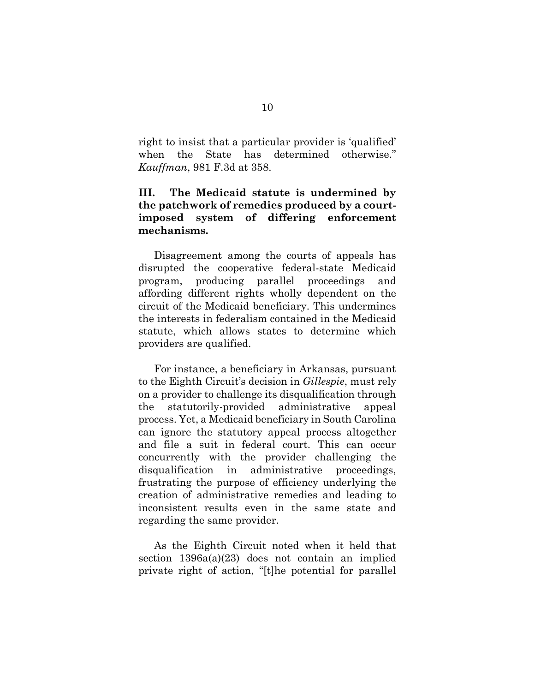right to insist that a particular provider is 'qualified' when the State has determined otherwise." *Kauffman*, 981 F.3d at 358.

## **III. The Medicaid statute is undermined by the patchwork of remedies produced by a courtimposed system of differing enforcement mechanisms.**

Disagreement among the courts of appeals has disrupted the cooperative federal-state Medicaid program, producing parallel proceedings and affording different rights wholly dependent on the circuit of the Medicaid beneficiary. This undermines the interests in federalism contained in the Medicaid statute, which allows states to determine which providers are qualified.

For instance, a beneficiary in Arkansas, pursuant to the Eighth Circuit's decision in *Gillespie*, must rely on a provider to challenge its disqualification through the statutorily-provided administrative appeal process. Yet, a Medicaid beneficiary in South Carolina can ignore the statutory appeal process altogether and file a suit in federal court. This can occur concurrently with the provider challenging the disqualification in administrative proceedings, frustrating the purpose of efficiency underlying the creation of administrative remedies and leading to inconsistent results even in the same state and regarding the same provider.

As the Eighth Circuit noted when it held that section  $1396a(a)(23)$  does not contain an implied private right of action, "[t]he potential for parallel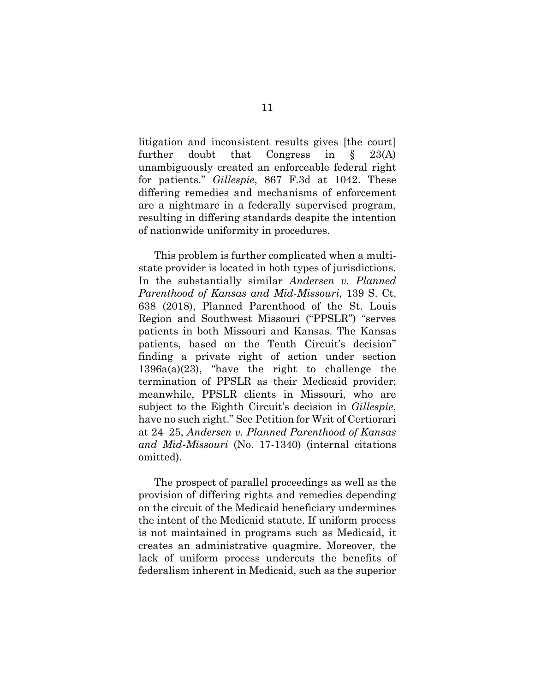litigation and inconsistent results gives [the court] further doubt that Congress in § 23(A) unambiguously created an enforceable federal right for patients." *Gillespie*, 867 F.3d at 1042. These differing remedies and mechanisms of enforcement are a nightmare in a federally supervised program, resulting in differing standards despite the intention of nationwide uniformity in procedures.

This problem is further complicated when a multistate provider is located in both types of jurisdictions. In the substantially similar *Andersen v. Planned Parenthood of Kansas and Mid-Missouri,* 139 S. Ct. 638 (2018), Planned Parenthood of the St. Louis Region and Southwest Missouri ("PPSLR") "serves patients in both Missouri and Kansas. The Kansas patients, based on the Tenth Circuit's decision" finding a private right of action under section 1396a(a)(23), "have the right to challenge the termination of PPSLR as their Medicaid provider; meanwhile, PPSLR clients in Missouri, who are subject to the Eighth Circuit's decision in *Gillespie*, have no such right." See Petition for Writ of Certiorari at 24–25, *Andersen v. Planned Parenthood of Kansas and Mid-Missouri* (No. 17-1340) (internal citations omitted).

The prospect of parallel proceedings as well as the provision of differing rights and remedies depending on the circuit of the Medicaid beneficiary undermines the intent of the Medicaid statute. If uniform process is not maintained in programs such as Medicaid, it creates an administrative quagmire. Moreover, the lack of uniform process undercuts the benefits of federalism inherent in Medicaid, such as the superior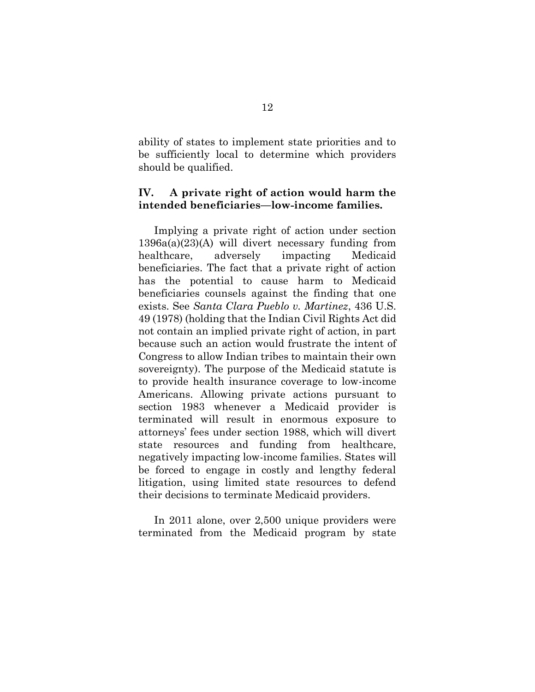ability of states to implement state priorities and to be sufficiently local to determine which providers should be qualified.

### **IV. A private right of action would harm the intended beneficiaries—low-income families.**

Implying a private right of action under section 1396a(a)(23)(A) will divert necessary funding from healthcare, adversely impacting Medicaid beneficiaries. The fact that a private right of action has the potential to cause harm to Medicaid beneficiaries counsels against the finding that one exists. See *Santa Clara Pueblo v. Martinez*, 436 U.S. 49 (1978) (holding that the Indian Civil Rights Act did not contain an implied private right of action, in part because such an action would frustrate the intent of Congress to allow Indian tribes to maintain their own sovereignty). The purpose of the Medicaid statute is to provide health insurance coverage to low-income Americans. Allowing private actions pursuant to section 1983 whenever a Medicaid provider is terminated will result in enormous exposure to attorneys' fees under section 1988, which will divert state resources and funding from healthcare, negatively impacting low-income families. States will be forced to engage in costly and lengthy federal litigation, using limited state resources to defend their decisions to terminate Medicaid providers.

In 2011 alone, over 2,500 unique providers were terminated from the Medicaid program by state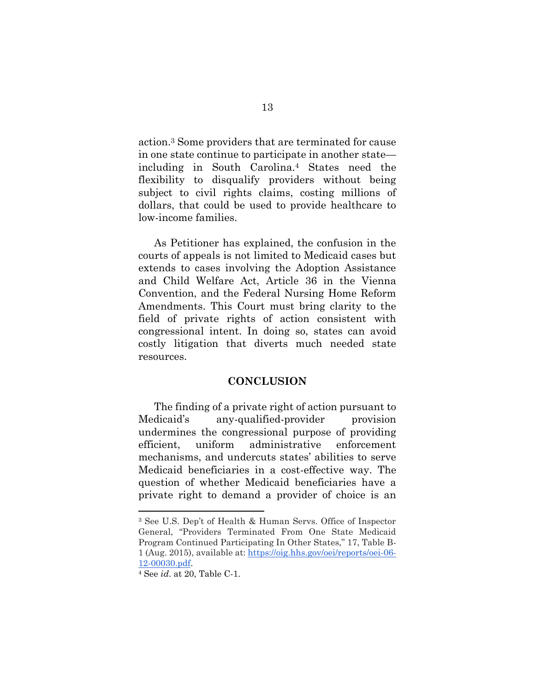action.<sup>3</sup> Some providers that are terminated for cause in one state continue to participate in another state including in South Carolina.<sup>4</sup> States need the flexibility to disqualify providers without being subject to civil rights claims, costing millions of dollars, that could be used to provide healthcare to low-income families.

As Petitioner has explained, the confusion in the courts of appeals is not limited to Medicaid cases but extends to cases involving the Adoption Assistance and Child Welfare Act, Article 36 in the Vienna Convention, and the Federal Nursing Home Reform Amendments. This Court must bring clarity to the field of private rights of action consistent with congressional intent. In doing so, states can avoid costly litigation that diverts much needed state resources.

### **CONCLUSION**

The finding of a private right of action pursuant to Medicaid's any-qualified-provider provision undermines the congressional purpose of providing efficient, uniform administrative enforcement mechanisms, and undercuts states' abilities to serve Medicaid beneficiaries in a cost-effective way. The question of whether Medicaid beneficiaries have a private right to demand a provider of choice is an

<sup>3</sup> See U.S. Dep't of Health & Human Servs. Office of Inspector General, "Providers Terminated From One State Medicaid Program Continued Participating In Other States," 17, Table B-1 (Aug. 2015), available at[:](https://oig.hhs.gov/oei/reports/oei-06-12-00030.pdf) [https://oig.hhs.gov/oei/reports/oei-06-](https://oig.hhs.gov/oei/reports/oei-06-12-00030.pdf) [12-00030.pdf.](https://oig.hhs.gov/oei/reports/oei-06-12-00030.pdf)

<sup>4</sup> See *id*. at 20, Table C-1.